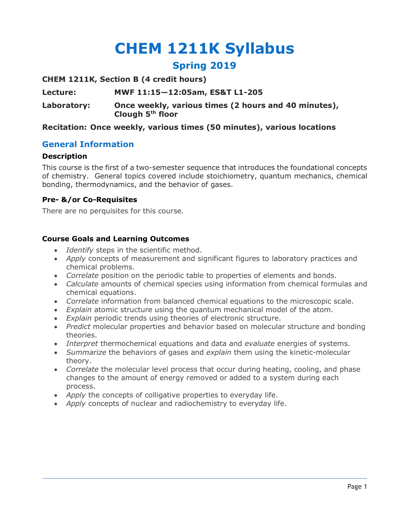# **CHEM 1211K Syllabus**

# **Spring 2019**

**CHEM 1211K, Section B (4 credit hours)**

**Lecture: MWF 11:15—12:05am, ES&T L1-205**

**Laboratory: Once weekly, various times (2 hours and 40 minutes), Clough 5th floor**

# **Recitation: Once weekly, various times (50 minutes), various locations**

# **General Information**

#### **Description**

This course is the first of a two-semester sequence that introduces the foundational concepts of chemistry. General topics covered include stoichiometry, quantum mechanics, chemical bonding, thermodynamics, and the behavior of gases.

# **Pre- &/or Co-Requisites**

There are no perquisites for this course.

# **Course Goals and Learning Outcomes**

- *Identify* steps in the scientific method.
- *Apply* concepts of measurement and significant figures to laboratory practices and chemical problems.
- *Correlate* position on the periodic table to properties of elements and bonds.
- *Calculate* amounts of chemical species using information from chemical formulas and chemical equations.
- *Correlate* information from balanced chemical equations to the microscopic scale.
- *Explain* atomic structure using the quantum mechanical model of the atom.
- *Explain* periodic trends using theories of electronic structure.
- *Predict* molecular properties and behavior based on molecular structure and bonding theories.
- *Interpret* thermochemical equations and data and *evaluate* energies of systems.
- *Summarize* the behaviors of gases and *explain* them using the kinetic-molecular theory.
- *Correlate* the molecular level process that occur during heating, cooling, and phase changes to the amount of energy removed or added to a system during each process.
- *Apply* the concepts of colligative properties to everyday life.
- *Apply* concepts of nuclear and radiochemistry to everyday life.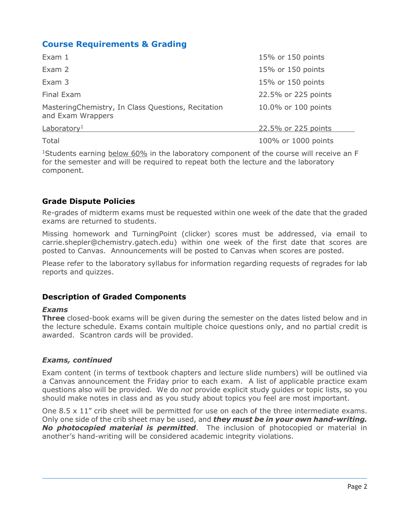# **Course Requirements & Grading**

| Exam 1                                                                  | 15% or 150 points   |
|-------------------------------------------------------------------------|---------------------|
| Exam 2                                                                  | 15% or 150 points   |
| Exam 3                                                                  | 15% or 150 points   |
| Final Exam                                                              | 22.5% or 225 points |
| MasteringChemistry, In Class Questions, Recitation<br>and Exam Wrappers | 10.0% or 100 points |
| Laboratory <sup>1</sup>                                                 | 22.5% or 225 points |
| Total                                                                   | 100% or 1000 points |

<sup>1</sup>Students earning below 60% in the laboratory component of the course will receive an F for the semester and will be required to repeat both the lecture and the laboratory component.

# **Grade Dispute Policies**

Re-grades of midterm exams must be requested within one week of the date that the graded exams are returned to students.

Missing homework and TurningPoint (clicker) scores must be addressed, via email to carrie.shepler@chemistry.gatech.edu) within one week of the first date that scores are posted to Canvas. Announcements will be posted to Canvas when scores are posted.

Please refer to the laboratory syllabus for information regarding requests of regrades for lab reports and quizzes.

# **Description of Graded Components**

#### *Exams*

**Three** closed-book exams will be given during the semester on the dates listed below and in the lecture schedule. Exams contain multiple choice questions only, and no partial credit is awarded. Scantron cards will be provided.

# *Exams, continued*

Exam content (in terms of textbook chapters and lecture slide numbers) will be outlined via a Canvas announcement the Friday prior to each exam. A list of applicable practice exam questions also will be provided. We do *not* provide explicit study guides or topic lists, so you should make notes in class and as you study about topics you feel are most important.

One  $8.5 \times 11$ " crib sheet will be permitted for use on each of the three intermediate exams. Only one side of the crib sheet may be used, and *they must be in your own hand-writing. No photocopied material is permitted*. The inclusion of photocopied or material in another's hand-writing will be considered academic integrity violations.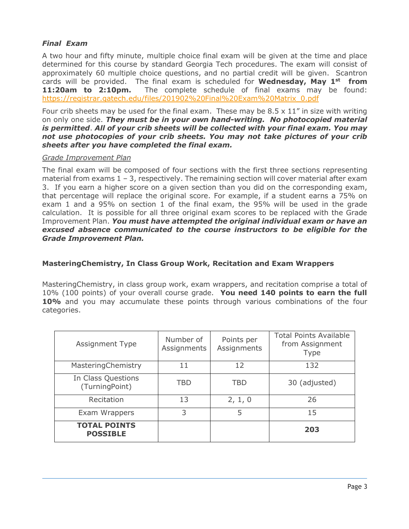# *Final Exam*

A two hour and fifty minute, multiple choice final exam will be given at the time and place determined for this course by standard Georgia Tech procedures. The exam will consist of approximately 60 multiple choice questions, and no partial credit will be given. Scantron cards will be provided. The final exam is scheduled for **Wednesday, May 1st from 11:20am to 2:10pm.** The complete schedule of final exams may be found: https://registrar.gatech.edu/files/201902%20Final%20Exam%20Matrix\_0.pdf

Four crib sheets may be used for the final exam. These may be  $8.5 \times 11$ " in size with writing on only one side. *They must be in your own hand-writing. No photocopied material is permitted*. *All of your crib sheets will be collected with your final exam. You may not use photocopies of your crib sheets. You may not take pictures of your crib sheets after you have completed the final exam.*

#### *Grade Improvement Plan*

The final exam will be composed of four sections with the first three sections representing material from exams  $1 - 3$ , respectively. The remaining section will cover material after exam 3. If you earn a higher score on a given section than you did on the corresponding exam, that percentage will replace the original score. For example, if a student earns a 75% on exam 1 and a 95% on section 1 of the final exam, the 95% will be used in the grade calculation. It is possible for all three original exam scores to be replaced with the Grade Improvement Plan. *You must have attempted the original individual exam or have an excused absence communicated to the course instructors to be eligible for the Grade Improvement Plan.*

# **MasteringChemistry, In Class Group Work, Recitation and Exam Wrappers**

MasteringChemistry, in class group work, exam wrappers, and recitation comprise a total of 10% (100 points) of your overall course grade. **You need 140 points to earn the full 10%** and you may accumulate these points through various combinations of the four categories.

| <b>Assignment Type</b>                 | Number of<br>Assignments | Points per<br>Assignments | <b>Total Points Available</b><br>from Assignment<br><b>Type</b> |
|----------------------------------------|--------------------------|---------------------------|-----------------------------------------------------------------|
| MasteringChemistry                     | 11                       | 12                        | 132                                                             |
| In Class Questions<br>(TurningPoint)   | TBD                      | <b>TBD</b>                | 30 (adjusted)                                                   |
| Recitation                             | 13                       | 2, 1, 0                   | 26                                                              |
| Exam Wrappers                          | 3                        | 5                         | 15                                                              |
| <b>TOTAL POINTS</b><br><b>POSSIBLE</b> |                          |                           | 203                                                             |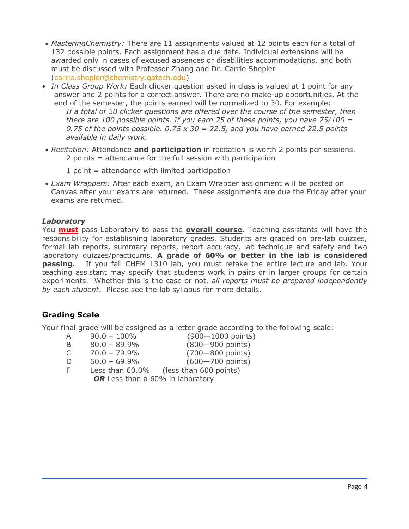- *MasteringChemistry:* There are 11 assignments valued at 12 points each for a total of 132 possible points. Each assignment has a due date. Individual extensions will be awarded only in cases of excused absences or disabilities accommodations, and both must be discussed with Professor Zhang and Dr. Carrie Shepler (carrie.shepler@chemistry.gatech.edu)
- *In Class Group Work:* Each clicker question asked in class is valued at 1 point for any answer and 2 points for a correct answer. There are no make-up opportunities. At the end of the semester, the points earned will be normalized to 30. For example: *If a total of 50 clicker questions are offered over the course of the semester, then there are 100 possible points. If you earn 75 of these points, you have 75/100 = 0.75 of the points possible. 0.75 x 30 = 22.5, and you have earned 22.5 points available in daily work.*
- *Recitation:* Attendance **and participation** in recitation is worth 2 points per sessions. 2 points = attendance for the full session with participation
	- $1$  point = attendance with limited participation
- *Exam Wrappers:* After each exam, an Exam Wrapper assignment will be posted on Canvas after your exams are returned. These assignments are due the Friday after your exams are returned.

# *Laboratory*

You **must** pass Laboratory to pass the **overall course**. Teaching assistants will have the responsibility for establishing laboratory grades. Students are graded on pre-lab quizzes, formal lab reports, summary reports, report accuracy, lab technique and safety and two laboratory quizzes/practicums. **A grade of 60% or better in the lab is considered**  passing. If you fail CHEM 1310 lab, you must retake the entire lecture and lab. Your teaching assistant may specify that students work in pairs or in larger groups for certain experiments. Whether this is the case or not, *all reports must be prepared independently by each student*. Please see the lab syllabus for more details.

# **Grading Scale**

Your final grade will be assigned as a letter grade according to the following scale:

- A 90.0 100% (900—1000 points)
- B 80.0 89.9% (800—900 points) C 70.0 – 79.9% (700—800 points) D 60.0 – 69.9% (600—700 points) F Less than 60.0% (less than 600 points)

OR Less than a 60% in laboratory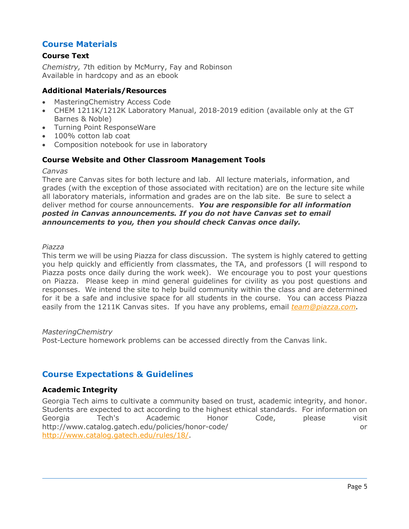# **Course Materials**

# **Course Text**

*Chemistry,* 7th edition by McMurry, Fay and Robinson Available in hardcopy and as an ebook

# **Additional Materials/Resources**

- MasteringChemistry Access Code
- CHEM 1211K/1212K Laboratory Manual, 2018-2019 edition (available only at the GT Barnes & Noble)
- Turning Point ResponseWare
- 100% cotton lab coat
- Composition notebook for use in laboratory

# **Course Website and Other Classroom Management Tools**

#### *Canvas*

There are Canvas sites for both lecture and lab. All lecture materials, information, and grades (with the exception of those associated with recitation) are on the lecture site while all laboratory materials, information and grades are on the lab site. Be sure to select a deliver method for course announcements. *You are responsible for all information posted in Canvas announcements. If you do not have Canvas set to email announcements to you, then you should check Canvas once daily.*

#### *Piazza*

This term we will be using Piazza for class discussion. The system is highly catered to getting you help quickly and efficiently from classmates, the TA, and professors (I will respond to Piazza posts once daily during the work week). We encourage you to post your questions on Piazza. Please keep in mind general guidelines for civility as you post questions and responses. We intend the site to help build community within the class and are determined for it be a safe and inclusive space for all students in the course. You can access Piazza easily from the 1211K Canvas sites. If you have any problems, email *team@piazza.com.*

#### *MasteringChemistry*

Post-Lecture homework problems can be accessed directly from the Canvas link.

# **Course Expectations & Guidelines**

# **Academic Integrity**

Georgia Tech aims to cultivate a community based on trust, academic integrity, and honor. Students are expected to act according to the highest ethical standards. For information on Georgia Tech's Academic Honor Code, please visit http://www.catalog.gatech.edu/policies/honor-code/ or http://www.catalog.gatech.edu/rules/18/.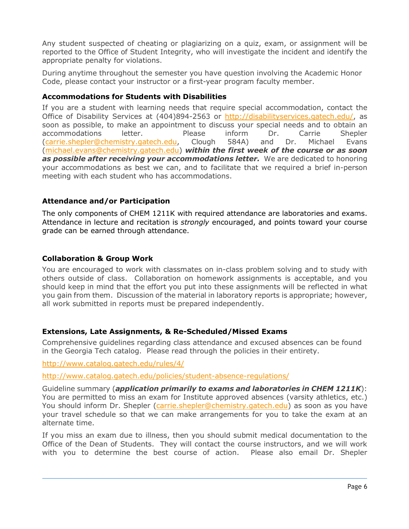Any student suspected of cheating or plagiarizing on a quiz, exam, or assignment will be reported to the Office of Student Integrity, who will investigate the incident and identify the appropriate penalty for violations.

During anytime throughout the semester you have question involving the Academic Honor Code, please contact your instructor or a first-year program faculty member.

### **Accommodations for Students with Disabilities**

If you are a student with learning needs that require special accommodation, contact the Office of Disability Services at (404)894-2563 or http://disabilityservices.gatech.edu/, as soon as possible, to make an appointment to discuss your special needs and to obtain an accommodations letter. Please inform Dr. Carrie Shepler (carrie.shepler@chemistry.gatech.edu, Clough 584A) and Dr. Michael Evans (michael.evans@chemistry.gatech.edu) *within the first week of the course or as soon as possible after receiving your accommodations letter.* We are dedicated to honoring your accommodations as best we can, and to facilitate that we required a brief in-person meeting with each student who has accommodations.

# **Attendance and/or Participation**

The only components of CHEM 1211K with required attendance are laboratories and exams. Attendance in lecture and recitation is *strongly* encouraged, and points toward your course grade can be earned through attendance.

# **Collaboration & Group Work**

You are encouraged to work with classmates on in-class problem solving and to study with others outside of class. Collaboration on homework assignments is acceptable, and you should keep in mind that the effort you put into these assignments will be reflected in what you gain from them. Discussion of the material in laboratory reports is appropriate; however, all work submitted in reports must be prepared independently.

# **Extensions, Late Assignments, & Re-Scheduled/Missed Exams**

Comprehensive guidelines regarding class attendance and excused absences can be found in the Georgia Tech catalog. Please read through the policies in their entirety.

http://www.catalog.gatech.edu/rules/4/

http://www.catalog.gatech.edu/policies/student-absence-regulations/

Guideline summary (*application primarily to exams and laboratories in CHEM 1211K*): You are permitted to miss an exam for Institute approved absences (varsity athletics, etc.) You should inform Dr. Shepler (carrie.shepler@chemistry.gatech.edu) as soon as you have your travel schedule so that we can make arrangements for you to take the exam at an alternate time.

If you miss an exam due to illness, then you should submit medical documentation to the Office of the Dean of Students. They will contact the course instructors, and we will work with you to determine the best course of action. Please also email Dr. Shepler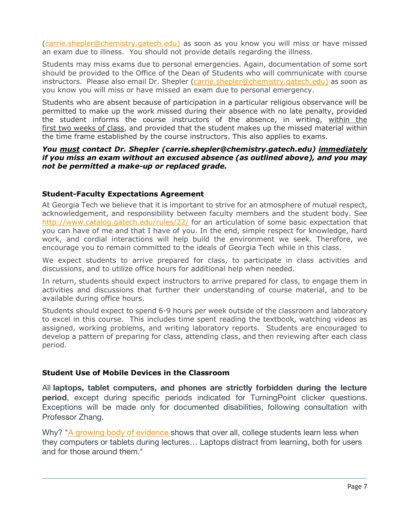(carrie.shepler@chemistry.gatech.edu) as soon as you know you will miss or have missed an exam due to illness. You should not provide details regarding the illness.

Students may miss exams due to personal emergencies. Again, documentation of some sort should be provided to the Office of the Dean of Students who will communicate with course instructors. Please also email Dr. Shepler (carrie.shepler@chemistry.gatech.edu) as soon as you know you will miss or have missed an exam due to personal emergency.

Students who are absent because of participation in a particular religious observance will be permitted to make up the work missed during their absence with no late penalty, provided the student informs the course instructors of the absence, in writing, within the first two weeks of class, and provided that the student makes up the missed material within the time frame established by the course instructors. This also applies to exams.

# *You must contact Dr. Shepler (carrie.shepler@chemistry.gatech.edu) immediately if you miss an exam without an excused absence (as outlined above), and you may not be permitted a make-up or replaced grade.*

# **Student-Faculty Expectations Agreement**

At Georgia Tech we believe that it is important to strive for an atmosphere of mutual respect, acknowledgement, and responsibility between faculty members and the student body. See http://www.catalog.gatech.edu/rules/22/ for an articulation of some basic expectation that you can have of me and that I have of you. In the end, simple respect for knowledge, hard work, and cordial interactions will help build the environment we seek. Therefore, we encourage you to remain committed to the ideals of Georgia Tech while in this class.

We expect students to arrive prepared for class, to participate in class activities and discussions, and to utilize office hours for additional help when needed.

In return, students should expect instructors to arrive prepared for class, to engage them in activities and discussions that further their understanding of course material, and to be available during office hours.

Students should expect to spend 6-9 hours per week outside of the classroom and laboratory to excel in this course. This includes time spent reading the textbook, watching videos as assigned, working problems, and writing laboratory reports. Students are encouraged to develop a pattern of preparing for class, attending class, and then reviewing after each class period.

# **Student Use of Mobile Devices in the Classroom**

All **laptops, tablet computers, and phones are strictly forbidden during the lecture period**, except during specific periods indicated for TurningPoint clicker questions. Exceptions will be made only for documented disabilities, following consultation with Professor Zhang.

Why? "A growing body of evidence shows that over all, college students learn less when they computers or tablets during lectures… Laptops distract from learning, both for users and for those around them."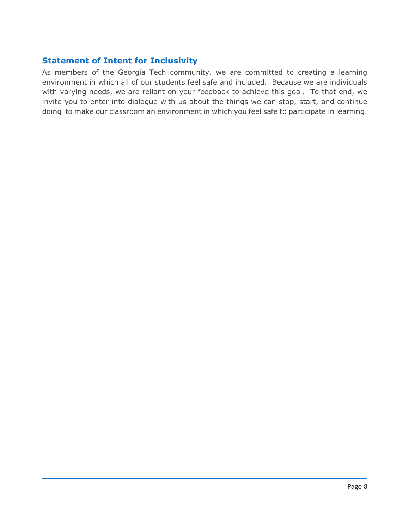# **Statement of Intent for Inclusivity**

As members of the Georgia Tech community, we are committed to creating a learning environment in which all of our students feel safe and included. Because we are individuals with varying needs, we are reliant on your feedback to achieve this goal. To that end, we invite you to enter into dialogue with us about the things we can stop, start, and continue doing to make our classroom an environment in which you feel safe to participate in learning.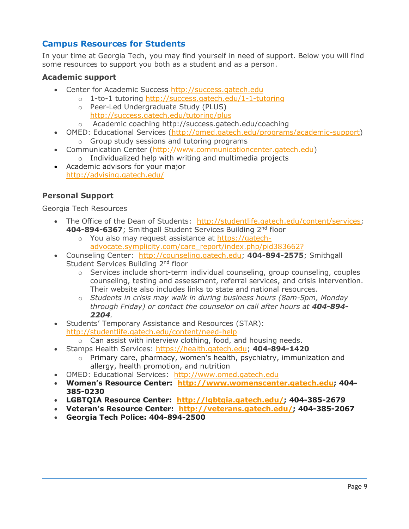# **Campus Resources for Students**

In your time at Georgia Tech, you may find yourself in need of support. Below you will find some resources to support you both as a student and as a person.

# **Academic support**

- Center for Academic Success http://success.gatech.edu
	- o 1-to-1 tutoring http://success.gatech.edu/1-1-tutoring
	- o Peer-Led Undergraduate Study (PLUS) http://success.gatech.edu/tutoring/plus
	- o Academic coaching http://success.gatech.edu/coaching
- OMED: Educational Services (http://omed.gatech.edu/programs/academic-support) o Group study sessions and tutoring programs
- Communication Center (http://www.communicationcenter.gatech.edu)
	- o Individualized help with writing and multimedia projects
- Academic advisors for your major http://advising.gatech.edu/

# **Personal Support**

Georgia Tech Resources

- The Office of the Dean of Students: http://studentlife.gatech.edu/content/services; **404-894-6367**; Smithgall Student Services Building 2nd floor
	- o You also may request assistance at https://gatechadvocate.symplicity.com/care\_report/index.php/pid383662?
- Counseling Center: http://counseling.gatech.edu; **404-894-2575**; Smithgall Student Services Building 2<sup>nd</sup> floor
	- $\circ$  Services include short-term individual counseling, group counseling, couples counseling, testing and assessment, referral services, and crisis intervention. Their website also includes links to state and national resources.
	- o *Students in crisis may walk in during business hours (8am-5pm, Monday through Friday) or contact the counselor on call after hours at 404-894- 2204.*
- Students' Temporary Assistance and Resources (STAR): http://studentlife.gatech.edu/content/need-help
- o Can assist with interview clothing, food, and housing needs.
- Stamps Health Services: https://health.gatech.edu; **404-894-1420**
	- $\circ$  Primary care, pharmacy, women's health, psychiatry, immunization and allergy, health promotion, and nutrition
- OMED: Educational Services: http://www.omed.gatech.edu
- **Women's Resource Center: http://www.womenscenter.gatech.edu; 404- 385-0230**
- **LGBTQIA Resource Center: http://lgbtqia.gatech.edu/; 404-385-2679**
- **Veteran's Resource Center: http://veterans.gatech.edu/; 404-385-2067**
- **Georgia Tech Police: 404-894-2500**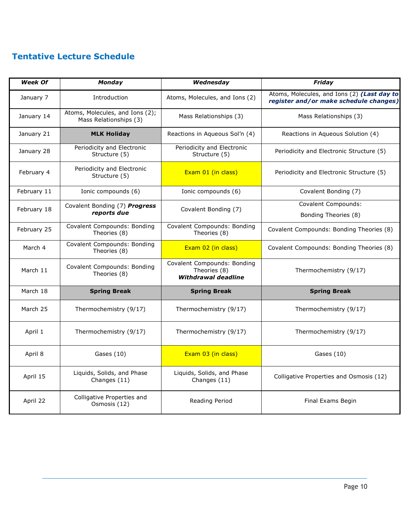# **Tentative Lecture Schedule**

| <b>Week Of</b> | Monday                                                    | Wednesday                                                                 | Friday                                                                                |
|----------------|-----------------------------------------------------------|---------------------------------------------------------------------------|---------------------------------------------------------------------------------------|
| January 7      | Introduction                                              | Atoms, Molecules, and Ions (2)                                            | Atoms, Molecules, and Ions (2) (Last day to<br>register and/or make schedule changes) |
| January 14     | Atoms, Molecules, and Ions (2);<br>Mass Relationships (3) | Mass Relationships (3)                                                    | Mass Relationships (3)                                                                |
| January 21     | <b>MLK Holiday</b>                                        | Reactions in Aqueous Sol'n (4)                                            | Reactions in Aqueous Solution (4)                                                     |
| January 28     | Periodicity and Electronic<br>Structure (5)               | Periodicity and Electronic<br>Structure (5)                               | Periodicity and Electronic Structure (5)                                              |
| February 4     | Periodicity and Electronic<br>Structure (5)               | Exam 01 (in class)                                                        | Periodicity and Electronic Structure (5)                                              |
| February 11    | Ionic compounds (6)                                       | Ionic compounds (6)                                                       | Covalent Bonding (7)                                                                  |
| February 18    | Covalent Bonding (7) Progress<br>reports due              | Covalent Bonding (7)                                                      | <b>Covalent Compounds:</b><br>Bonding Theories (8)                                    |
| February 25    | <b>Covalent Compounds: Bonding</b><br>Theories (8)        | Covalent Compounds: Bonding<br>Theories (8)                               | Covalent Compounds: Bonding Theories (8)                                              |
| March 4        | <b>Covalent Compounds: Bonding</b><br>Theories (8)        | Exam 02 (in class)                                                        | Covalent Compounds: Bonding Theories (8)                                              |
| March 11       | Covalent Compounds: Bonding<br>Theories (8)               | Covalent Compounds: Bonding<br>Theories (8)<br><b>Withdrawal deadline</b> | Thermochemistry (9/17)                                                                |
| March 18       | <b>Spring Break</b>                                       | <b>Spring Break</b>                                                       | <b>Spring Break</b>                                                                   |
| March 25       | Thermochemistry (9/17)                                    | Thermochemistry (9/17)                                                    | Thermochemistry (9/17)                                                                |
| April 1        | Thermochemistry (9/17)                                    | Thermochemistry (9/17)                                                    | Thermochemistry (9/17)                                                                |
| April 8        | Gases (10)                                                | Exam 03 (in class)                                                        | Gases (10)                                                                            |
| April 15       | Liquids, Solids, and Phase<br>Changes (11)                | Liquids, Solids, and Phase<br>Changes (11)                                | Colligative Properties and Osmosis (12)                                               |
| April 22       | Colligative Properties and<br>Osmosis (12)                | Reading Period                                                            | Final Exams Begin                                                                     |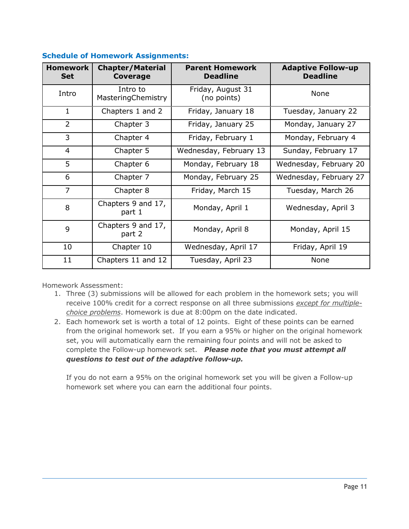| <b>Homework</b><br><b>Set</b> | <b>Chapter/Material</b><br><b>Coverage</b> | <b>Parent Homework</b><br><b>Deadline</b> | <b>Adaptive Follow-up</b><br><b>Deadline</b> |
|-------------------------------|--------------------------------------------|-------------------------------------------|----------------------------------------------|
| Intro                         | Intro to<br>MasteringChemistry             | Friday, August 31<br>(no points)          | None                                         |
| $\mathbf{1}$                  | Chapters 1 and 2                           | Friday, January 18                        | Tuesday, January 22                          |
| $\overline{2}$                | Chapter 3                                  | Friday, January 25                        | Monday, January 27                           |
| 3                             | Chapter 4                                  | Friday, February 1                        | Monday, February 4                           |
| $\overline{4}$                | Chapter 5                                  | Wednesday, February 13                    | Sunday, February 17                          |
| 5                             | Chapter 6                                  | Monday, February 18                       | Wednesday, February 20                       |
| 6                             | Chapter 7                                  | Monday, February 25                       | Wednesday, February 27                       |
| $\overline{7}$                | Chapter 8                                  | Friday, March 15                          | Tuesday, March 26                            |
| 8                             | Chapters 9 and 17,<br>part 1               | Monday, April 1                           | Wednesday, April 3                           |
| 9                             | Chapters 9 and 17,<br>part 2               | Monday, April 8                           | Monday, April 15                             |
| 10                            | Chapter 10                                 | Wednesday, April 17                       | Friday, April 19                             |
| 11                            | Chapters 11 and 12                         | Tuesday, April 23                         | None                                         |

# **Schedule of Homework Assignments:**

Homework Assessment:

- 1. Three (3) submissions will be allowed for each problem in the homework sets; you will receive 100% credit for a correct response on all three submissions *except for multiplechoice problems*. Homework is due at 8:00pm on the date indicated.
- 2. Each homework set is worth a total of 12 points. Eight of these points can be earned from the original homework set. If you earn a 95% or higher on the original homework set, you will automatically earn the remaining four points and will not be asked to complete the Follow-up homework set. *Please note that you must attempt all questions to test out of the adaptive follow-up.*

If you do not earn a 95% on the original homework set you will be given a Follow-up homework set where you can earn the additional four points.